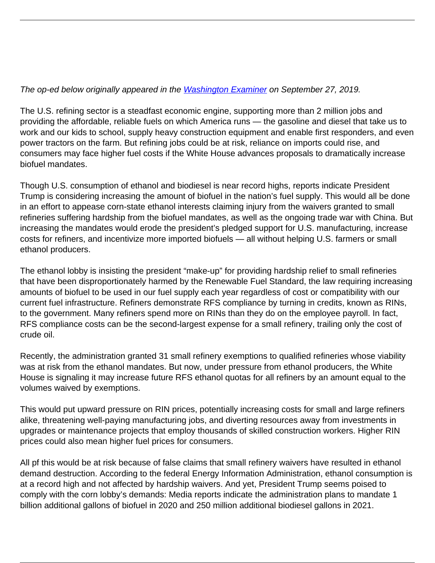## The op-ed below originally appeared in the [Washington Examiner](https://www.washingtonexaminer.com/opinion/op-eds/america-first-biofuel-proposal-would-increase-imports-threaten-us-jobs) on September 27, 2019.

The U.S. refining sector is a steadfast economic engine, supporting more than 2 million jobs and providing the affordable, reliable fuels on which America runs — the gasoline and diesel that take us to work and our kids to school, supply heavy construction equipment and enable first responders, and even power tractors on the farm. But refining jobs could be at risk, reliance on imports could rise, and consumers may face higher fuel costs if the White House advances proposals to dramatically increase biofuel mandates.

Though U.S. consumption of ethanol and biodiesel is near record highs, reports indicate President Trump is considering increasing the amount of biofuel in the nation's fuel supply. This would all be done in an effort to appease corn-state ethanol interests claiming injury from the waivers granted to small refineries suffering hardship from the biofuel mandates, as well as the ongoing trade war with China. But increasing the mandates would erode the president's pledged support for U.S. manufacturing, increase costs for refiners, and incentivize more imported biofuels — all without helping U.S. farmers or small ethanol producers.

The ethanol lobby is insisting the president "make-up" for providing hardship relief to small refineries that have been disproportionately harmed by the Renewable Fuel Standard, the law requiring increasing amounts of biofuel to be used in our fuel supply each year regardless of cost or compatibility with our current fuel infrastructure. Refiners demonstrate RFS compliance by turning in credits, known as RINs, to the government. Many refiners spend more on RINs than they do on the employee payroll. In fact, RFS compliance costs can be the second-largest expense for a small refinery, trailing only the cost of crude oil.

Recently, the administration granted 31 small refinery exemptions to qualified refineries whose viability was at risk from the ethanol mandates. But now, under pressure from ethanol producers, the White House is signaling it may increase future RFS ethanol quotas for all refiners by an amount equal to the volumes waived by exemptions.

This would put upward pressure on RIN prices, potentially increasing costs for small and large refiners alike, threatening well-paying manufacturing jobs, and diverting resources away from investments in upgrades or maintenance projects that employ thousands of skilled construction workers. Higher RIN prices could also mean higher fuel prices for consumers.

All pf this would be at risk because of false claims that small refinery waivers have resulted in ethanol demand destruction. According to the federal Energy Information Administration, ethanol consumption is at a record high and not affected by hardship waivers. And yet, President Trump seems poised to comply with the corn lobby's demands: Media reports indicate the administration plans to mandate 1 billion additional gallons of biofuel in 2020 and 250 million additional biodiesel gallons in 2021.